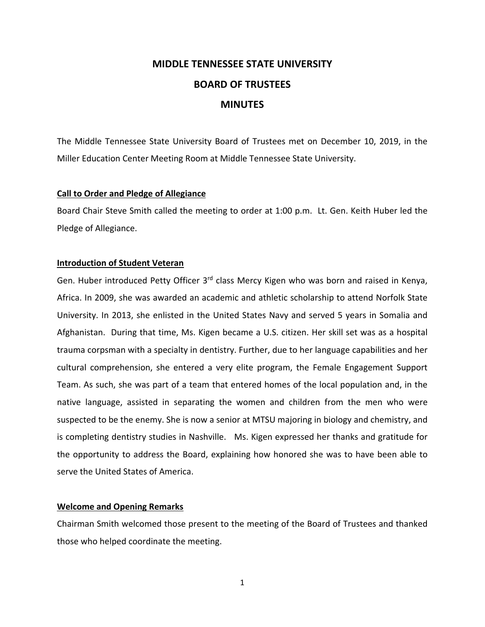# **MIDDLE TENNESSEE STATE UNIVERSITY BOARD OF TRUSTEES MINUTES**

The Middle Tennessee State University Board of Trustees met on December 10, 2019, in the Miller Education Center Meeting Room at Middle Tennessee State University.

## **Call to Order and Pledge of Allegiance**

Board Chair Steve Smith called the meeting to order at 1:00 p.m. Lt. Gen. Keith Huber led the Pledge of Allegiance.

## **Introduction of Student Veteran**

Gen. Huber introduced Petty Officer 3<sup>rd</sup> class Mercy Kigen who was born and raised in Kenya, Africa. In 2009, she was awarded an academic and athletic scholarship to attend Norfolk State University. In 2013, she enlisted in the United States Navy and served 5 years in Somalia and Afghanistan. During that time, Ms. Kigen became a U.S. citizen. Her skill set was as a hospital trauma corpsman with a specialty in dentistry. Further, due to her language capabilities and her cultural comprehension, she entered a very elite program, the Female Engagement Support Team. As such, she was part of a team that entered homes of the local population and, in the native language, assisted in separating the women and children from the men who were suspected to be the enemy. She is now a senior at MTSU majoring in biology and chemistry, and is completing dentistry studies in Nashville. Ms. Kigen expressed her thanks and gratitude for the opportunity to address the Board, explaining how honored she was to have been able to serve the United States of America.

## **Welcome and Opening Remarks**

Chairman Smith welcomed those present to the meeting of the Board of Trustees and thanked those who helped coordinate the meeting.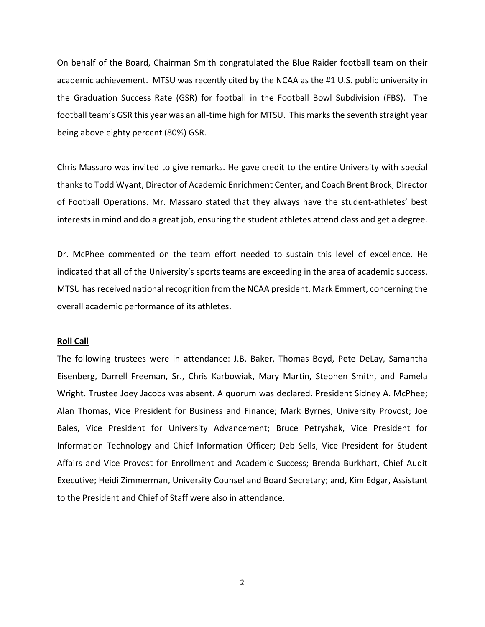On behalf of the Board, Chairman Smith congratulated the Blue Raider football team on their academic achievement. MTSU was recently cited by the NCAA as the #1 U.S. public university in the Graduation Success Rate (GSR) for football in the Football Bowl Subdivision (FBS). The football team's GSR this year was an all-time high for MTSU. This marks the seventh straight year being above eighty percent (80%) GSR.

Chris Massaro was invited to give remarks. He gave credit to the entire University with special thanksto Todd Wyant, Director of Academic Enrichment Center, and Coach Brent Brock, Director of Football Operations. Mr. Massaro stated that they always have the student‐athletes' best interests in mind and do a great job, ensuring the student athletes attend class and get a degree.

Dr. McPhee commented on the team effort needed to sustain this level of excellence. He indicated that all of the University's sports teams are exceeding in the area of academic success. MTSU has received national recognition from the NCAA president, Mark Emmert, concerning the overall academic performance of its athletes.

#### **Roll Call**

The following trustees were in attendance: J.B. Baker, Thomas Boyd, Pete DeLay, Samantha Eisenberg, Darrell Freeman, Sr., Chris Karbowiak, Mary Martin, Stephen Smith, and Pamela Wright. Trustee Joey Jacobs was absent. A quorum was declared. President Sidney A. McPhee; Alan Thomas, Vice President for Business and Finance; Mark Byrnes, University Provost; Joe Bales, Vice President for University Advancement; Bruce Petryshak, Vice President for Information Technology and Chief Information Officer; Deb Sells, Vice President for Student Affairs and Vice Provost for Enrollment and Academic Success; Brenda Burkhart, Chief Audit Executive; Heidi Zimmerman, University Counsel and Board Secretary; and, Kim Edgar, Assistant to the President and Chief of Staff were also in attendance.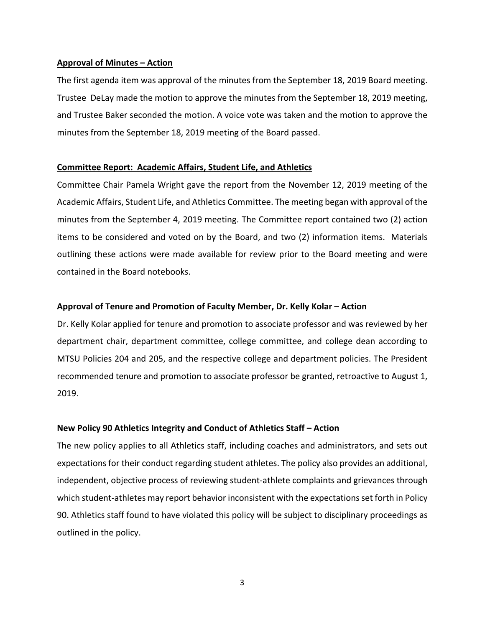## **Approval of Minutes – Action**

The first agenda item was approval of the minutes from the September 18, 2019 Board meeting. Trustee DeLay made the motion to approve the minutes from the September 18, 2019 meeting, and Trustee Baker seconded the motion. A voice vote was taken and the motion to approve the minutes from the September 18, 2019 meeting of the Board passed.

## **Committee Report: Academic Affairs, Student Life, and Athletics**

Committee Chair Pamela Wright gave the report from the November 12, 2019 meeting of the Academic Affairs, Student Life, and Athletics Committee. The meeting began with approval of the minutes from the September 4, 2019 meeting. The Committee report contained two (2) action items to be considered and voted on by the Board, and two (2) information items. Materials outlining these actions were made available for review prior to the Board meeting and were contained in the Board notebooks.

## **Approval of Tenure and Promotion of Faculty Member, Dr. Kelly Kolar – Action**

Dr. Kelly Kolar applied for tenure and promotion to associate professor and was reviewed by her department chair, department committee, college committee, and college dean according to MTSU Policies 204 and 205, and the respective college and department policies. The President recommended tenure and promotion to associate professor be granted, retroactive to August 1, 2019.

# **New Policy 90 Athletics Integrity and Conduct of Athletics Staff – Action**

The new policy applies to all Athletics staff, including coaches and administrators, and sets out expectations for their conduct regarding student athletes. The policy also provides an additional, independent, objective process of reviewing student‐athlete complaints and grievances through which student-athletes may report behavior inconsistent with the expectations set forth in Policy 90. Athletics staff found to have violated this policy will be subject to disciplinary proceedings as outlined in the policy.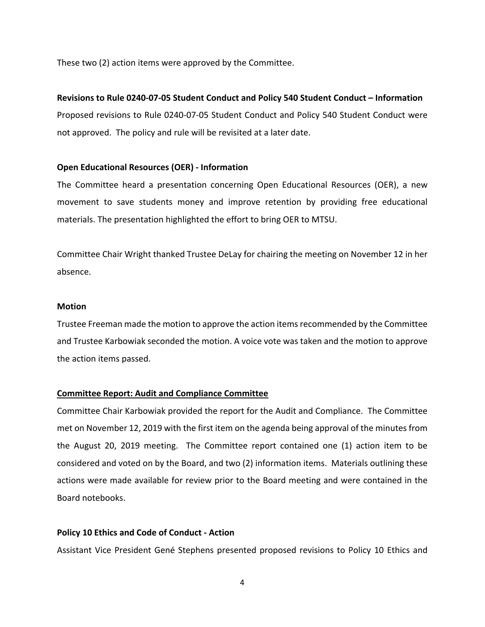These two (2) action items were approved by the Committee.

# **Revisions to Rule 0240‐07‐05 Student Conduct and Policy 540 Student Conduct – Information**

Proposed revisions to Rule 0240‐07‐05 Student Conduct and Policy 540 Student Conduct were not approved. The policy and rule will be revisited at a later date.

# **Open Educational Resources (OER) ‐ Information**

The Committee heard a presentation concerning Open Educational Resources (OER), a new movement to save students money and improve retention by providing free educational materials. The presentation highlighted the effort to bring OER to MTSU.

Committee Chair Wright thanked Trustee DeLay for chairing the meeting on November 12 in her absence.

# **Motion**

Trustee Freeman made the motion to approve the action itemsrecommended by the Committee and Trustee Karbowiak seconded the motion. A voice vote was taken and the motion to approve the action items passed.

# **Committee Report: Audit and Compliance Committee**

Committee Chair Karbowiak provided the report for the Audit and Compliance. The Committee met on November 12, 2019 with the first item on the agenda being approval of the minutes from the August 20, 2019 meeting. The Committee report contained one (1) action item to be considered and voted on by the Board, and two (2) information items. Materials outlining these actions were made available for review prior to the Board meeting and were contained in the Board notebooks.

# **Policy 10 Ethics and Code of Conduct ‐ Action**

Assistant Vice President Gené Stephens presented proposed revisions to Policy 10 Ethics and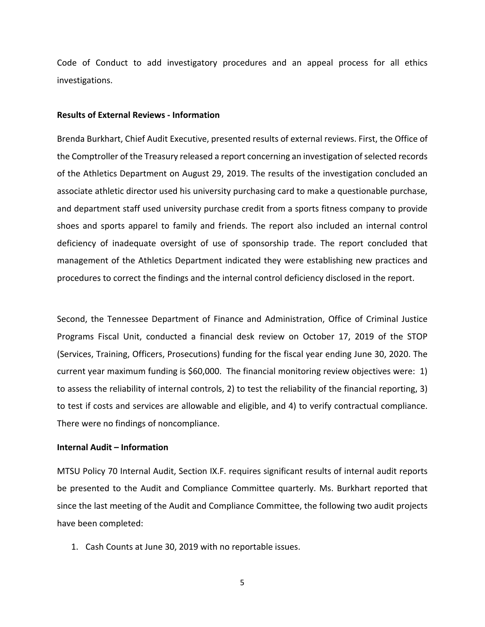Code of Conduct to add investigatory procedures and an appeal process for all ethics investigations.

#### **Results of External Reviews ‐ Information**

Brenda Burkhart, Chief Audit Executive, presented results of external reviews. First, the Office of the Comptroller of the Treasury released a report concerning an investigation of selected records of the Athletics Department on August 29, 2019. The results of the investigation concluded an associate athletic director used his university purchasing card to make a questionable purchase, and department staff used university purchase credit from a sports fitness company to provide shoes and sports apparel to family and friends. The report also included an internal control deficiency of inadequate oversight of use of sponsorship trade. The report concluded that management of the Athletics Department indicated they were establishing new practices and procedures to correct the findings and the internal control deficiency disclosed in the report.

Second, the Tennessee Department of Finance and Administration, Office of Criminal Justice Programs Fiscal Unit, conducted a financial desk review on October 17, 2019 of the STOP (Services, Training, Officers, Prosecutions) funding for the fiscal year ending June 30, 2020. The current year maximum funding is \$60,000. The financial monitoring review objectives were: 1) to assess the reliability of internal controls, 2) to test the reliability of the financial reporting, 3) to test if costs and services are allowable and eligible, and 4) to verify contractual compliance. There were no findings of noncompliance.

#### **Internal Audit – Information**

MTSU Policy 70 Internal Audit, Section IX.F. requires significant results of internal audit reports be presented to the Audit and Compliance Committee quarterly. Ms. Burkhart reported that since the last meeting of the Audit and Compliance Committee, the following two audit projects have been completed:

1. Cash Counts at June 30, 2019 with no reportable issues.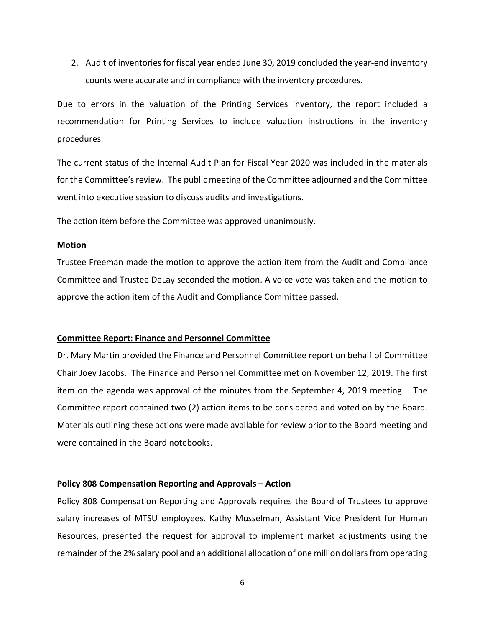2. Audit of inventories for fiscal year ended June 30, 2019 concluded the year-end inventory counts were accurate and in compliance with the inventory procedures.

Due to errors in the valuation of the Printing Services inventory, the report included a recommendation for Printing Services to include valuation instructions in the inventory procedures.

The current status of the Internal Audit Plan for Fiscal Year 2020 was included in the materials for the Committee's review. The public meeting of the Committee adjourned and the Committee went into executive session to discuss audits and investigations.

The action item before the Committee was approved unanimously.

#### **Motion**

Trustee Freeman made the motion to approve the action item from the Audit and Compliance Committee and Trustee DeLay seconded the motion. A voice vote was taken and the motion to approve the action item of the Audit and Compliance Committee passed.

#### **Committee Report: Finance and Personnel Committee**

Dr. Mary Martin provided the Finance and Personnel Committee report on behalf of Committee Chair Joey Jacobs. The Finance and Personnel Committee met on November 12, 2019. The first item on the agenda was approval of the minutes from the September 4, 2019 meeting. The Committee report contained two (2) action items to be considered and voted on by the Board. Materials outlining these actions were made available for review prior to the Board meeting and were contained in the Board notebooks.

#### **Policy 808 Compensation Reporting and Approvals – Action**

Policy 808 Compensation Reporting and Approvals requires the Board of Trustees to approve salary increases of MTSU employees. Kathy Musselman, Assistant Vice President for Human Resources, presented the request for approval to implement market adjustments using the remainder of the 2% salary pool and an additional allocation of one million dollarsfrom operating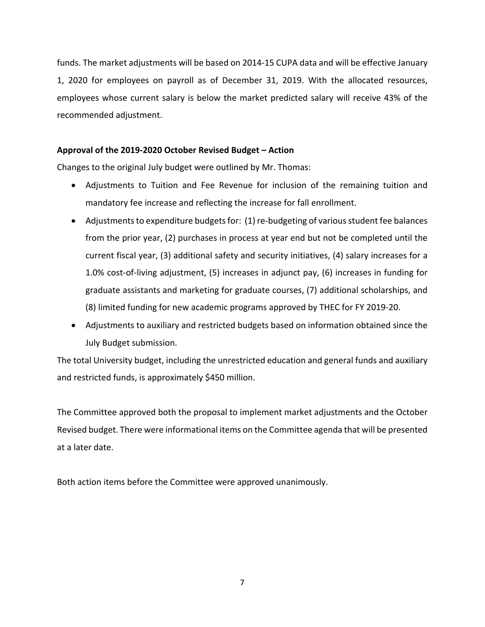funds. The market adjustments will be based on 2014‐15 CUPA data and will be effective January 1, 2020 for employees on payroll as of December 31, 2019. With the allocated resources, employees whose current salary is below the market predicted salary will receive 43% of the recommended adjustment.

# **Approval of the 2019‐2020 October Revised Budget – Action**

Changes to the original July budget were outlined by Mr. Thomas:

- Adjustments to Tuition and Fee Revenue for inclusion of the remaining tuition and mandatory fee increase and reflecting the increase for fall enrollment.
- Adjustments to expenditure budgets for: (1) re-budgeting of various student fee balances from the prior year, (2) purchases in process at year end but not be completed until the current fiscal year, (3) additional safety and security initiatives, (4) salary increases for a 1.0% cost‐of‐living adjustment, (5) increases in adjunct pay, (6) increases in funding for graduate assistants and marketing for graduate courses, (7) additional scholarships, and (8) limited funding for new academic programs approved by THEC for FY 2019‐20.
- Adjustments to auxiliary and restricted budgets based on information obtained since the July Budget submission.

The total University budget, including the unrestricted education and general funds and auxiliary and restricted funds, is approximately \$450 million.

The Committee approved both the proposal to implement market adjustments and the October Revised budget. There were informational items on the Committee agenda that will be presented at a later date.

Both action items before the Committee were approved unanimously.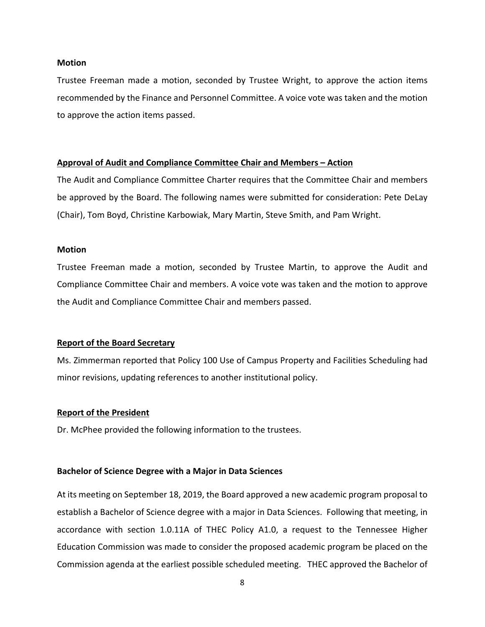#### **Motion**

Trustee Freeman made a motion, seconded by Trustee Wright, to approve the action items recommended by the Finance and Personnel Committee. A voice vote was taken and the motion to approve the action items passed.

#### **Approval of Audit and Compliance Committee Chair and Members – Action**

The Audit and Compliance Committee Charter requires that the Committee Chair and members be approved by the Board. The following names were submitted for consideration: Pete DeLay (Chair), Tom Boyd, Christine Karbowiak, Mary Martin, Steve Smith, and Pam Wright.

## **Motion**

Trustee Freeman made a motion, seconded by Trustee Martin, to approve the Audit and Compliance Committee Chair and members. A voice vote was taken and the motion to approve the Audit and Compliance Committee Chair and members passed.

#### **Report of the Board Secretary**

Ms. Zimmerman reported that Policy 100 Use of Campus Property and Facilities Scheduling had minor revisions, updating references to another institutional policy.

#### **Report of the President**

Dr. McPhee provided the following information to the trustees.

## **Bachelor of Science Degree with a Major in Data Sciences**

At its meeting on September 18, 2019, the Board approved a new academic program proposal to establish a Bachelor of Science degree with a major in Data Sciences. Following that meeting, in accordance with section 1.0.11A of THEC Policy A1.0, a request to the Tennessee Higher Education Commission was made to consider the proposed academic program be placed on the Commission agenda at the earliest possible scheduled meeting. THEC approved the Bachelor of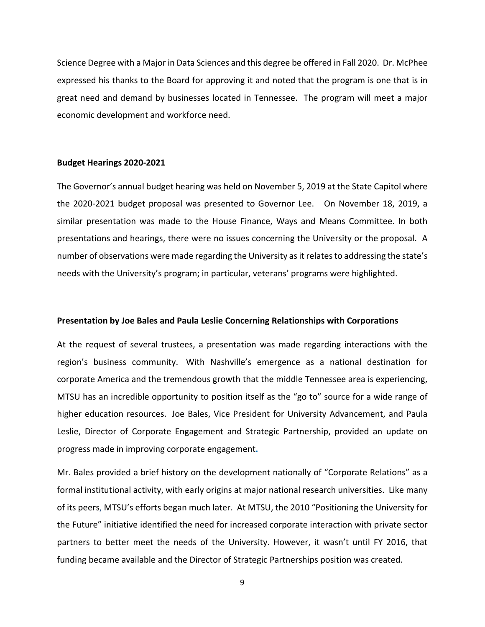Science Degree with a Major in Data Sciences and this degree be offered in Fall 2020. Dr. McPhee expressed his thanks to the Board for approving it and noted that the program is one that is in great need and demand by businesses located in Tennessee. The program will meet a major economic development and workforce need.

#### **Budget Hearings 2020‐2021**

The Governor's annual budget hearing was held on November 5, 2019 at the State Capitol where the 2020‐2021 budget proposal was presented to Governor Lee. On November 18, 2019, a similar presentation was made to the House Finance, Ways and Means Committee. In both presentations and hearings, there were no issues concerning the University or the proposal. A number of observations were made regarding the University as it relates to addressing the state's needs with the University's program; in particular, veterans' programs were highlighted.

#### **Presentation by Joe Bales and Paula Leslie Concerning Relationships with Corporations**

At the request of several trustees, a presentation was made regarding interactions with the region's business community. With Nashville's emergence as a national destination for corporate America and the tremendous growth that the middle Tennessee area is experiencing, MTSU has an incredible opportunity to position itself as the "go to" source for a wide range of higher education resources. Joe Bales, Vice President for University Advancement, and Paula Leslie, Director of Corporate Engagement and Strategic Partnership, provided an update on progress made in improving corporate engagement**.** 

Mr. Bales provided a brief history on the development nationally of "Corporate Relations" as a formal institutional activity, with early origins at major national research universities. Like many of its peers, MTSU's efforts began much later. At MTSU, the 2010 "Positioning the University for the Future" initiative identified the need for increased corporate interaction with private sector partners to better meet the needs of the University. However, it wasn't until FY 2016, that funding became available and the Director of Strategic Partnerships position was created.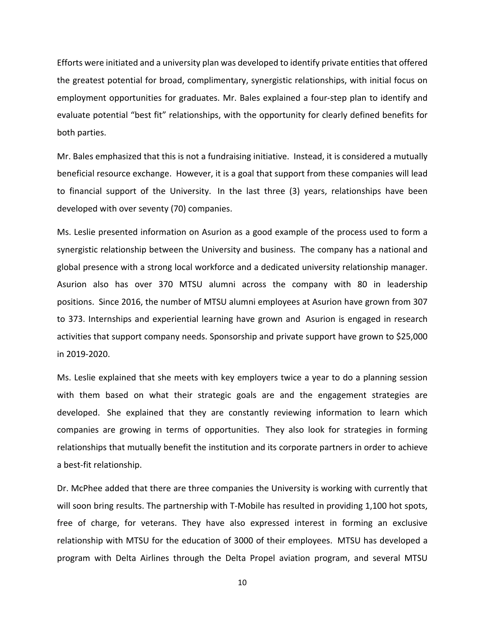Efforts were initiated and a university plan was developed to identify private entitiesthat offered the greatest potential for broad, complimentary, synergistic relationships, with initial focus on employment opportunities for graduates. Mr. Bales explained a four‐step plan to identify and evaluate potential "best fit" relationships, with the opportunity for clearly defined benefits for both parties.

Mr. Bales emphasized that this is not a fundraising initiative. Instead, it is considered a mutually beneficial resource exchange. However, it is a goal that support from these companies will lead to financial support of the University. In the last three (3) years, relationships have been developed with over seventy (70) companies.

Ms. Leslie presented information on Asurion as a good example of the process used to form a synergistic relationship between the University and business. The company has a national and global presence with a strong local workforce and a dedicated university relationship manager. Asurion also has over 370 MTSU alumni across the company with 80 in leadership positions. Since 2016, the number of MTSU alumni employees at Asurion have grown from 307 to 373. Internships and experiential learning have grown and Asurion is engaged in research activities that support company needs. Sponsorship and private support have grown to \$25,000 in 2019‐2020.

Ms. Leslie explained that she meets with key employers twice a year to do a planning session with them based on what their strategic goals are and the engagement strategies are developed. She explained that they are constantly reviewing information to learn which companies are growing in terms of opportunities. They also look for strategies in forming relationships that mutually benefit the institution and its corporate partners in order to achieve a best‐fit relationship.

Dr. McPhee added that there are three companies the University is working with currently that will soon bring results. The partnership with T-Mobile has resulted in providing 1,100 hot spots, free of charge, for veterans. They have also expressed interest in forming an exclusive relationship with MTSU for the education of 3000 of their employees. MTSU has developed a program with Delta Airlines through the Delta Propel aviation program, and several MTSU